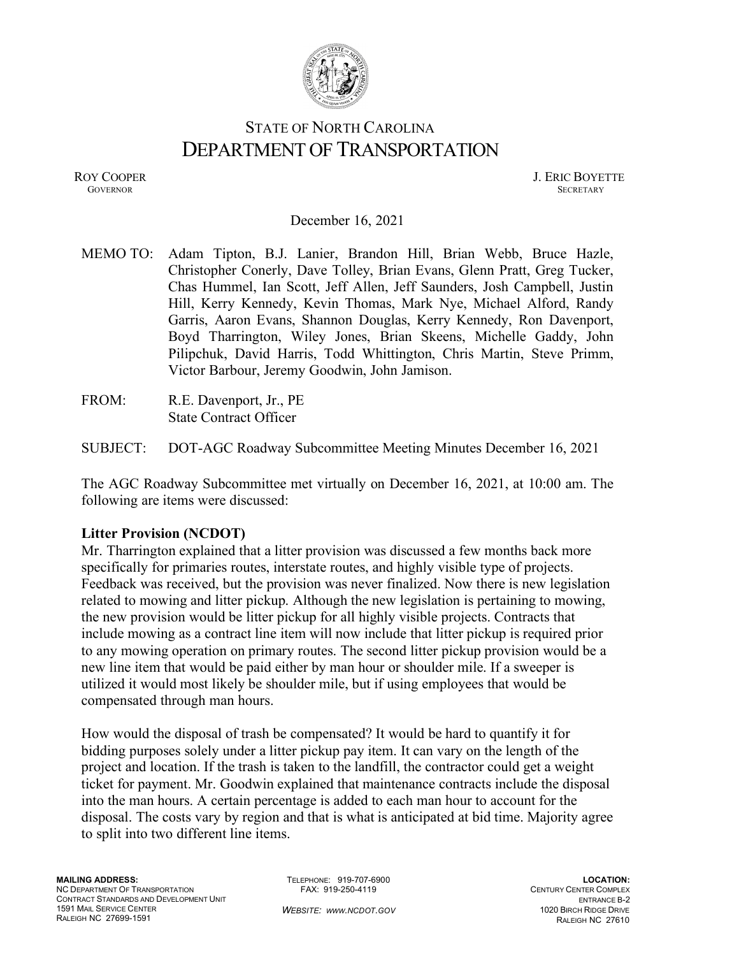

# STATE OF NORTH CAROLINA DEPARTMENT OF TRANSPORTATION

ROY COOPER J. ERIC BOYETTE GOVERNOR SECRETARY GOVERNOR SECRETARY SECRETARY SECRETARY SECRETARY SECRETARY SECRETARY SECRETARY SECRETARY

#### December 16, 2021

MEMO TO: Adam Tipton, B.J. Lanier, Brandon Hill, Brian Webb, Bruce Hazle, Christopher Conerly, Dave Tolley, Brian Evans, Glenn Pratt, Greg Tucker, Chas Hummel, Ian Scott, Jeff Allen, Jeff Saunders, Josh Campbell, Justin Hill, Kerry Kennedy, Kevin Thomas, Mark Nye, Michael Alford, Randy Garris, Aaron Evans, Shannon Douglas, Kerry Kennedy, Ron Davenport, Boyd Tharrington, Wiley Jones, Brian Skeens, Michelle Gaddy, John Pilipchuk, David Harris, Todd Whittington, Chris Martin, Steve Primm, Victor Barbour, Jeremy Goodwin, John Jamison.

FROM: R.E. Davenport, Jr., PE State Contract Officer

SUBJECT: DOT-AGC Roadway Subcommittee Meeting Minutes December 16, 2021

The AGC Roadway Subcommittee met virtually on December 16, 2021, at 10:00 am. The following are items were discussed:

#### **Litter Provision (NCDOT)**

Mr. Tharrington explained that a litter provision was discussed a few months back more specifically for primaries routes, interstate routes, and highly visible type of projects. Feedback was received, but the provision was never finalized. Now there is new legislation related to mowing and litter pickup. Although the new legislation is pertaining to mowing, the new provision would be litter pickup for all highly visible projects. Contracts that include mowing as a contract line item will now include that litter pickup is required prior to any mowing operation on primary routes. The second litter pickup provision would be a new line item that would be paid either by man hour or shoulder mile. If a sweeper is utilized it would most likely be shoulder mile, but if using employees that would be compensated through man hours.

How would the disposal of trash be compensated? It would be hard to quantify it for bidding purposes solely under a litter pickup pay item. It can vary on the length of the project and location. If the trash is taken to the landfill, the contractor could get a weight ticket for payment. Mr. Goodwin explained that maintenance contracts include the disposal into the man hours. A certain percentage is added to each man hour to account for the disposal. The costs vary by region and that is what is anticipated at bid time. Majority agree to split into two different line items.

TELEPHONE: 919-707-6900 FAX: 919-250-4119

*WEBSITE: WWW.NCDOT.GOV*

**LOCATION:** CENTURY CENTER COMPLEX ENTRANCE B-2 1020 BIRCH RIDGE DRIVE RALEIGH NC 27610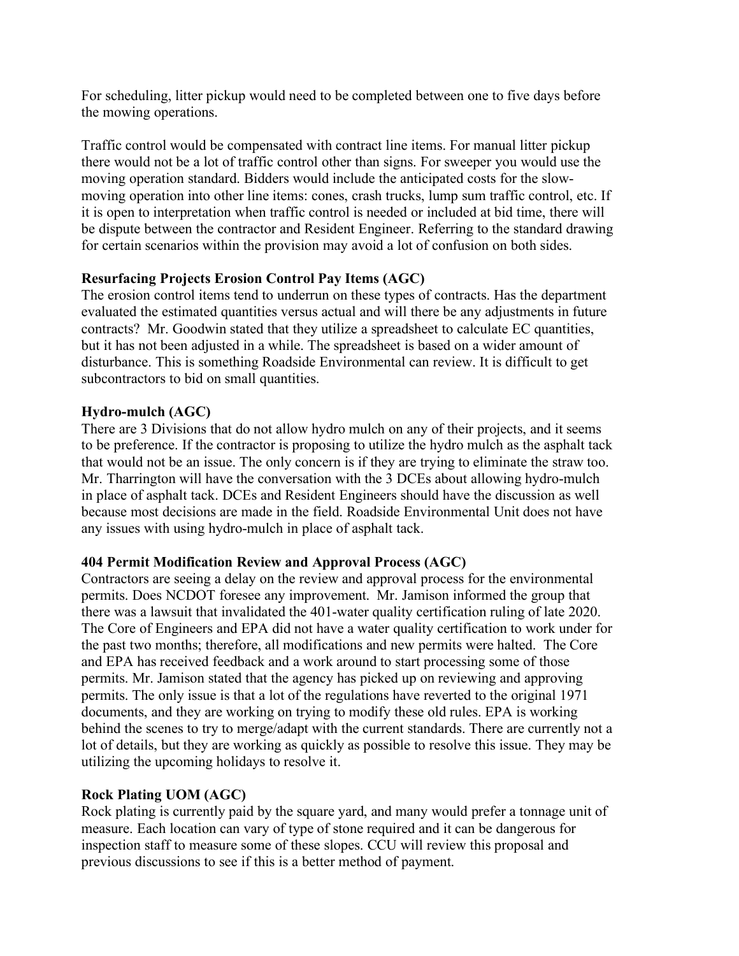For scheduling, litter pickup would need to be completed between one to five days before the mowing operations.

Traffic control would be compensated with contract line items. For manual litter pickup there would not be a lot of traffic control other than signs. For sweeper you would use the moving operation standard. Bidders would include the anticipated costs for the slowmoving operation into other line items: cones, crash trucks, lump sum traffic control, etc. If it is open to interpretation when traffic control is needed or included at bid time, there will be dispute between the contractor and Resident Engineer. Referring to the standard drawing for certain scenarios within the provision may avoid a lot of confusion on both sides.

# **Resurfacing Projects Erosion Control Pay Items (AGC)**

The erosion control items tend to underrun on these types of contracts. Has the department evaluated the estimated quantities versus actual and will there be any adjustments in future contracts? Mr. Goodwin stated that they utilize a spreadsheet to calculate EC quantities, but it has not been adjusted in a while. The spreadsheet is based on a wider amount of disturbance. This is something Roadside Environmental can review. It is difficult to get subcontractors to bid on small quantities.

# **Hydro-mulch (AGC)**

There are 3 Divisions that do not allow hydro mulch on any of their projects, and it seems to be preference. If the contractor is proposing to utilize the hydro mulch as the asphalt tack that would not be an issue. The only concern is if they are trying to eliminate the straw too. Mr. Tharrington will have the conversation with the 3 DCEs about allowing hydro-mulch in place of asphalt tack. DCEs and Resident Engineers should have the discussion as well because most decisions are made in the field. Roadside Environmental Unit does not have any issues with using hydro-mulch in place of asphalt tack.

# **404 Permit Modification Review and Approval Process (AGC)**

Contractors are seeing a delay on the review and approval process for the environmental permits. Does NCDOT foresee any improvement. Mr. Jamison informed the group that there was a lawsuit that invalidated the 401-water quality certification ruling of late 2020. The Core of Engineers and EPA did not have a water quality certification to work under for the past two months; therefore, all modifications and new permits were halted. The Core and EPA has received feedback and a work around to start processing some of those permits. Mr. Jamison stated that the agency has picked up on reviewing and approving permits. The only issue is that a lot of the regulations have reverted to the original 1971 documents, and they are working on trying to modify these old rules. EPA is working behind the scenes to try to merge/adapt with the current standards. There are currently not a lot of details, but they are working as quickly as possible to resolve this issue. They may be utilizing the upcoming holidays to resolve it.

# **Rock Plating UOM (AGC)**

Rock plating is currently paid by the square yard, and many would prefer a tonnage unit of measure. Each location can vary of type of stone required and it can be dangerous for inspection staff to measure some of these slopes. CCU will review this proposal and previous discussions to see if this is a better method of payment.